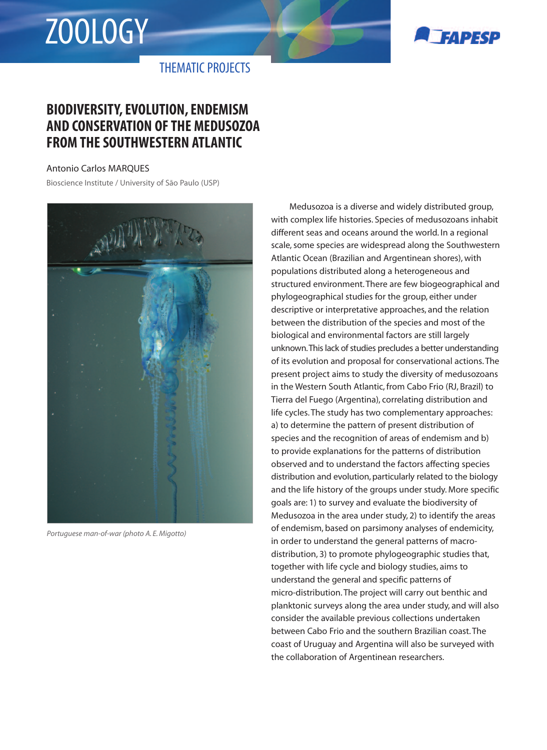# ZOOLOGY



THEMATIC PROJECTS

## **BIODIVERSITY, EVOLUTION, ENDEMISM AND CONSERVATION OF THE MEDUSOZOA FROM THE SOUTHWESTERN ATLANTIC**

#### Antonio Carlos MARQUES

Bioscience Institute / University of São Paulo (USP)



*Portuguese man-of-war (photo A. E. Migotto)*

Medusozoa is a diverse and widely distributed group, with complex life histories. Species of medusozoans inhabit different seas and oceans around the world. In a regional scale, some species are widespread along the Southwestern Atlantic Ocean (Brazilian and Argentinean shores), with populations distributed along a heterogeneous and structured environment. There are few biogeographical and phylogeographical studies for the group, either under descriptive or interpretative approaches, and the relation between the distribution of the species and most of the biological and environmental factors are still largely unknown.This lack of studies precludes a better understanding of its evolution and proposal for conservational actions. The present project aims to study the diversity of medusozoans in the Western South Atlantic, from Cabo Frio (RJ, Brazil) to Tierra del Fuego (Argentina), correlating distribution and life cycles. The study has two complementary approaches: a) to determine the pattern of present distribution of species and the recognition of areas of endemism and b) to provide explanations for the patterns of distribution observed and to understand the factors affecting species distribution and evolution, particularly related to the biology and the life history of the groups under study. More specific goals are: 1) to survey and evaluate the biodiversity of Medusozoa in the area under study, 2) to identify the areas of endemism, based on parsimony analyses of endemicity, in order to understand the general patterns of macrodistribution, 3) to promote phylogeographic studies that, together with life cycle and biology studies, aims to understand the general and specific patterns of micro-distribution. The project will carry out benthic and planktonic surveys along the area under study, and will also consider the available previous collections undertaken between Cabo Frio and the southern Brazilian coast. The coast of Uruguay and Argentina will also be surveyed with the collaboration of Argentinean researchers.